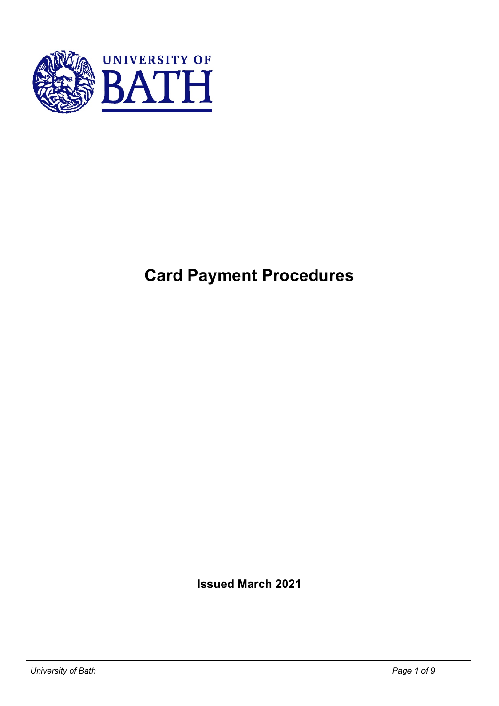

# **Card Payment Procedures**

**Issued March 2021**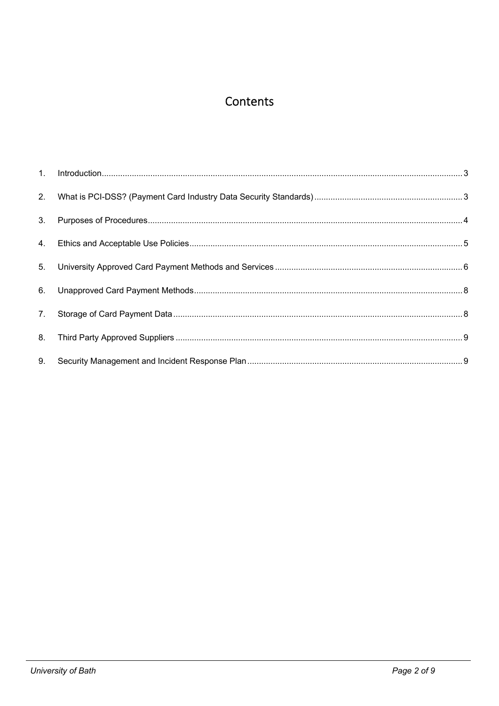## Contents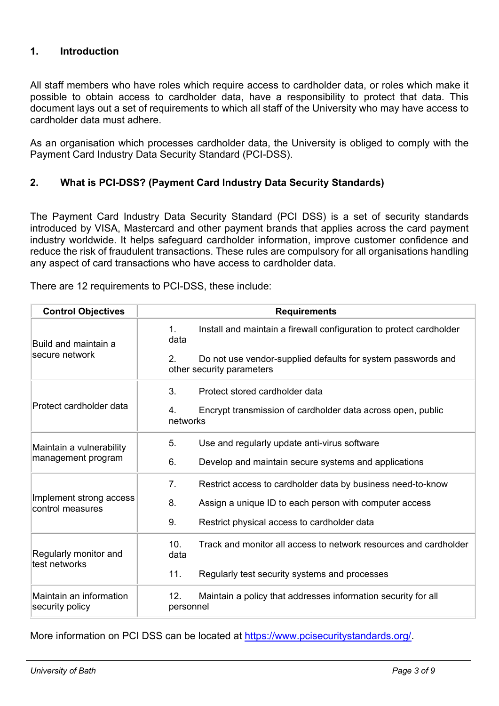## **1. Introduction**

All staff members who have roles which require access to cardholder data, or roles which make it possible to obtain access to cardholder data, have a responsibility to protect that data. This document lays out a set of requirements to which all staff of the University who may have access to cardholder data must adhere.

As an organisation which processes cardholder data, the University is obliged to comply with the Payment Card Industry Data Security Standard (PCI-DSS).

## **2. What is PCI-DSS? (Payment Card Industry Data Security Standards)**

The Payment Card Industry Data Security Standard (PCI DSS) is a set of security standards introduced by VISA, Mastercard and other payment brands that applies across the card payment industry worldwide. It helps safeguard cardholder information, improve customer confidence and reduce the risk of fraudulent transactions. These rules are compulsory for all organisations handling any aspect of card transactions who have access to cardholder data.

| <b>Control Objectives</b>                   | <b>Requirements</b>                                                                                  |  |  |
|---------------------------------------------|------------------------------------------------------------------------------------------------------|--|--|
| Build and maintain a                        | Install and maintain a firewall configuration to protect cardholder<br>1.<br>data                    |  |  |
| secure network                              | $2_{-}$<br>Do not use vendor-supplied defaults for system passwords and<br>other security parameters |  |  |
|                                             | 3.<br>Protect stored cardholder data                                                                 |  |  |
| Protect cardholder data                     | Encrypt transmission of cardholder data across open, public<br>4.<br>networks                        |  |  |
| Maintain a vulnerability                    | 5.<br>Use and regularly update anti-virus software                                                   |  |  |
| management program                          | 6.<br>Develop and maintain secure systems and applications                                           |  |  |
|                                             | 7.<br>Restrict access to cardholder data by business need-to-know                                    |  |  |
| Implement strong access<br>control measures | 8.<br>Assign a unique ID to each person with computer access                                         |  |  |
|                                             | 9.<br>Restrict physical access to cardholder data                                                    |  |  |
| Regularly monitor and<br>test networks      | 10.<br>Track and monitor all access to network resources and cardholder<br>data                      |  |  |
|                                             | 11.<br>Regularly test security systems and processes                                                 |  |  |
| Maintain an information<br>security policy  | 12.<br>Maintain a policy that addresses information security for all<br>personnel                    |  |  |

There are 12 requirements to PCI-DSS, these include:

More information on PCI DSS can be located at https://www.pcisecuritystandards.org/.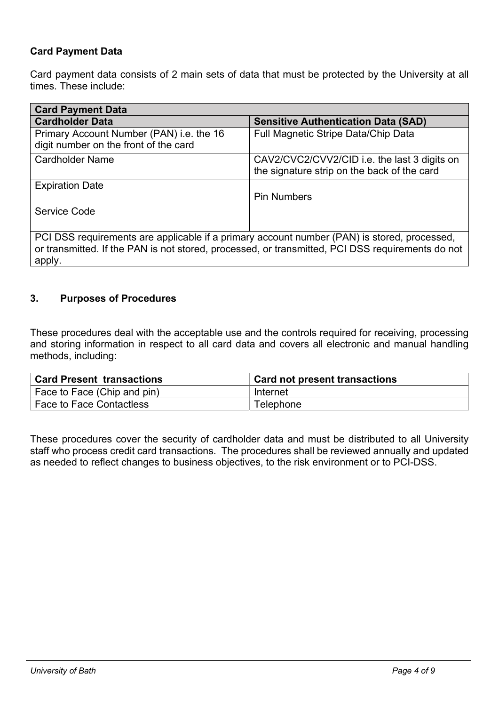## **Card Payment Data**

Card payment data consists of 2 main sets of data that must be protected by the University at all times. These include:

| <b>Card Payment Data</b>                                                                                                                                                                                  |                                                                                             |  |  |  |  |
|-----------------------------------------------------------------------------------------------------------------------------------------------------------------------------------------------------------|---------------------------------------------------------------------------------------------|--|--|--|--|
| <b>Cardholder Data</b>                                                                                                                                                                                    | <b>Sensitive Authentication Data (SAD)</b>                                                  |  |  |  |  |
| Primary Account Number (PAN) i.e. the 16<br>digit number on the front of the card                                                                                                                         | Full Magnetic Stripe Data/Chip Data                                                         |  |  |  |  |
| <b>Cardholder Name</b>                                                                                                                                                                                    | CAV2/CVC2/CVV2/CID i.e. the last 3 digits on<br>the signature strip on the back of the card |  |  |  |  |
| <b>Expiration Date</b>                                                                                                                                                                                    | <b>Pin Numbers</b>                                                                          |  |  |  |  |
| Service Code                                                                                                                                                                                              |                                                                                             |  |  |  |  |
| PCI DSS requirements are applicable if a primary account number (PAN) is stored, processed,<br>or transmitted. If the PAN is not stored, processed, or transmitted, PCI DSS requirements do not<br>apply. |                                                                                             |  |  |  |  |

## **3. Purposes of Procedures**

These procedures deal with the acceptable use and the controls required for receiving, processing and storing information in respect to all card data and covers all electronic and manual handling methods, including:

| <b>Card Present transactions</b>      | <b>Card not present transactions</b> |
|---------------------------------------|--------------------------------------|
| Face to Face (Chip and pin)           | Internet                             |
| <sup>'</sup> Face to Face Contactless | Telephone                            |

These procedures cover the security of cardholder data and must be distributed to all University staff who process credit card transactions. The procedures shall be reviewed annually and updated as needed to reflect changes to business objectives, to the risk environment or to PCI-DSS.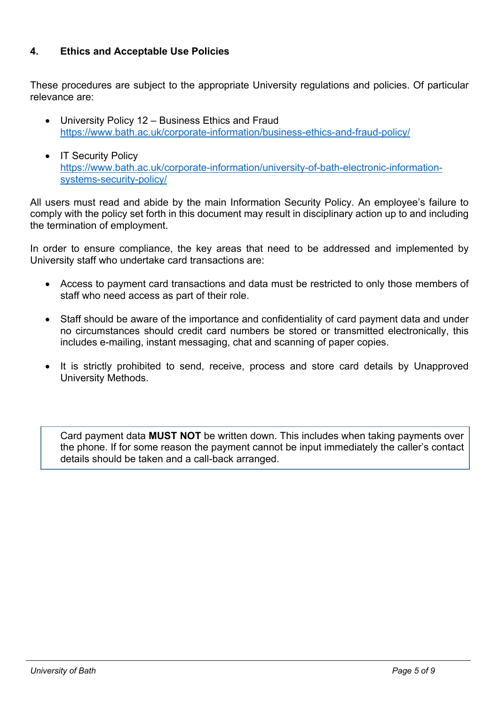## **4. Ethics and Acceptable Use Policies**

These procedures are subject to the appropriate University regulations and policies. Of particular relevance are:

- University Policy 12 Business Ethics and Fraud https://www.bath.ac.uk/corporate-information/business-ethics-and-fraud-policy/
- IT Security Policy https://www.bath.ac.uk/corporate-information/university-of-bath-electronic-informationsystems-security-policy/

All users must read and abide by the main Information Security Policy. An employee's failure to comply with the policy set forth in this document may result in disciplinary action up to and including the termination of employment.

In order to ensure compliance, the key areas that need to be addressed and implemented by University staff who undertake card transactions are:

- Access to payment card transactions and data must be restricted to only those members of staff who need access as part of their role.
- Staff should be aware of the importance and confidentiality of card payment data and under no circumstances should credit card numbers be stored or transmitted electronically, this includes e-mailing, instant messaging, chat and scanning of paper copies.
- It is strictly prohibited to send, receive, process and store card details by Unapproved University Methods.

Card payment data **MUST NOT** be written down. This includes when taking payments over the phone. If for some reason the payment cannot be input immediately the caller's contact details should be taken and a call-back arranged.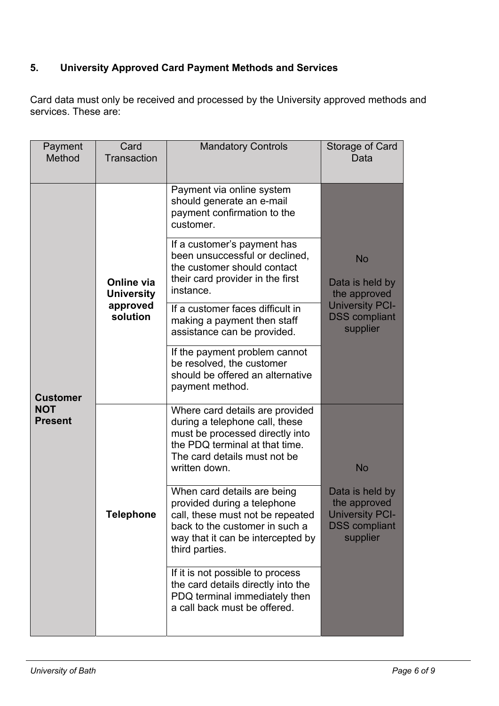## **5. University Approved Card Payment Methods and Services**

Card data must only be received and processed by the University approved methods and services. These are:

| Payment<br>Method            | Card<br>Transaction                                     | <b>Mandatory Controls</b>                                                                                                                                                               | Storage of Card<br>Data                                                                       |
|------------------------------|---------------------------------------------------------|-----------------------------------------------------------------------------------------------------------------------------------------------------------------------------------------|-----------------------------------------------------------------------------------------------|
|                              | Online via<br><b>University</b><br>approved<br>solution | Payment via online system<br>should generate an e-mail<br>payment confirmation to the<br>customer.                                                                                      |                                                                                               |
|                              |                                                         | If a customer's payment has<br>been unsuccessful or declined,<br>the customer should contact<br>their card provider in the first<br>instance.                                           | <b>No</b><br>Data is held by<br>the approved                                                  |
|                              |                                                         | If a customer faces difficult in<br>making a payment then staff<br>assistance can be provided.                                                                                          | <b>University PCI-</b><br><b>DSS</b> compliant<br>supplier                                    |
| <b>Customer</b>              |                                                         | If the payment problem cannot<br>be resolved, the customer<br>should be offered an alternative<br>payment method.                                                                       |                                                                                               |
| <b>NOT</b><br><b>Present</b> |                                                         | Where card details are provided<br>during a telephone call, these<br>must be processed directly into<br>the PDQ terminal at that time.<br>The card details must not be<br>written down. | <b>No</b>                                                                                     |
|                              | Telephone                                               | When card details are being<br>provided during a telephone<br>call, these must not be repeated<br>back to the customer in such a<br>way that it can be intercepted by<br>third parties. | Data is held by<br>the approved<br><b>University PCI-</b><br><b>DSS</b> compliant<br>supplier |
|                              |                                                         | If it is not possible to process<br>the card details directly into the<br>PDQ terminal immediately then<br>a call back must be offered.                                                 |                                                                                               |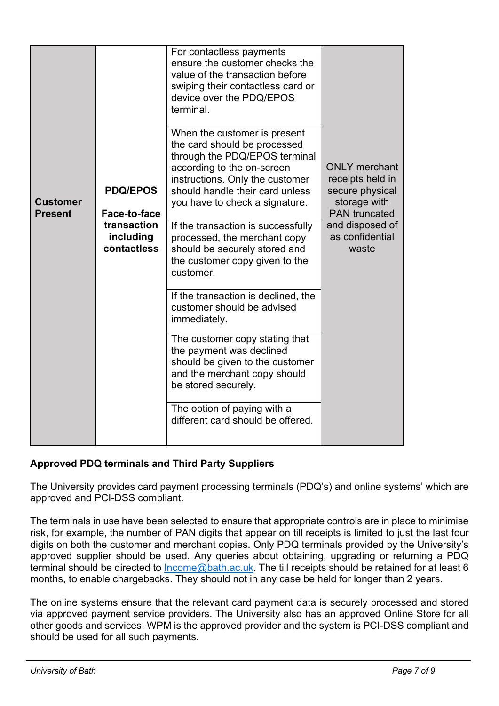|                                   | <b>PDQ/EPOS</b><br>Face-to-face<br>transaction<br>including<br>contactless | For contactless payments<br>ensure the customer checks the<br>value of the transaction before<br>swiping their contactless card or<br>device over the PDQ/EPOS<br>terminal.                                                         | <b>ONLY</b> merchant<br>receipts held in<br>secure physical<br>storage with<br><b>PAN</b> truncated<br>and disposed of<br>as confidential<br>waste |
|-----------------------------------|----------------------------------------------------------------------------|-------------------------------------------------------------------------------------------------------------------------------------------------------------------------------------------------------------------------------------|----------------------------------------------------------------------------------------------------------------------------------------------------|
| <b>Customer</b><br><b>Present</b> |                                                                            | When the customer is present<br>the card should be processed<br>through the PDQ/EPOS terminal<br>according to the on-screen<br>instructions. Only the customer<br>should handle their card unless<br>you have to check a signature. |                                                                                                                                                    |
|                                   |                                                                            | If the transaction is successfully<br>processed, the merchant copy<br>should be securely stored and<br>the customer copy given to the<br>customer.                                                                                  |                                                                                                                                                    |
|                                   |                                                                            | If the transaction is declined, the<br>customer should be advised<br>immediately.                                                                                                                                                   |                                                                                                                                                    |
|                                   |                                                                            | The customer copy stating that<br>the payment was declined<br>should be given to the customer<br>and the merchant copy should<br>be stored securely.                                                                                |                                                                                                                                                    |
|                                   |                                                                            | The option of paying with a<br>different card should be offered.                                                                                                                                                                    |                                                                                                                                                    |

## **Approved PDQ terminals and Third Party Suppliers**

The University provides card payment processing terminals (PDQ's) and online systems' which are approved and PCI-DSS compliant.

The terminals in use have been selected to ensure that appropriate controls are in place to minimise risk, for example, the number of PAN digits that appear on till receipts is limited to just the last four digits on both the customer and merchant copies. Only PDQ terminals provided by the University's approved supplier should be used. Any queries about obtaining, upgrading or returning a PDQ terminal should be directed to Income@bath.ac.uk. The till receipts should be retained for at least 6 months, to enable chargebacks. They should not in any case be held for longer than 2 years.

The online systems ensure that the relevant card payment data is securely processed and stored via approved payment service providers. The University also has an approved Online Store for all other goods and services. WPM is the approved provider and the system is PCI-DSS compliant and should be used for all such payments.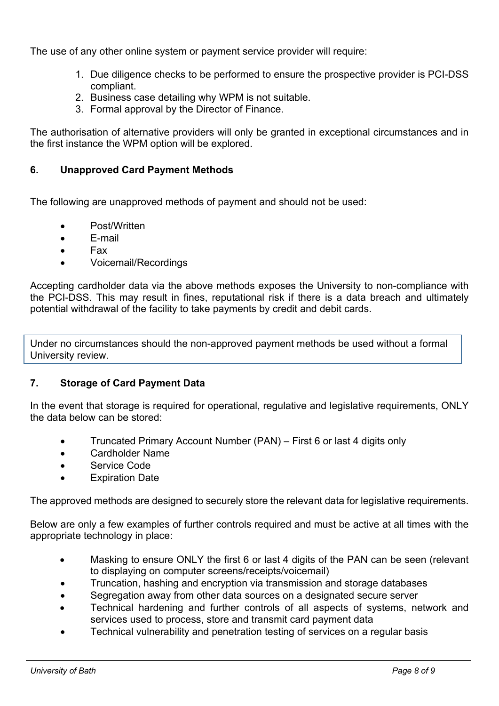The use of any other online system or payment service provider will require:

- 1. Due diligence checks to be performed to ensure the prospective provider is PCI-DSS compliant.
- 2. Business case detailing why WPM is not suitable.
- 3. Formal approval by the Director of Finance.

The authorisation of alternative providers will only be granted in exceptional circumstances and in the first instance the WPM option will be explored.

## **6. Unapproved Card Payment Methods**

The following are unapproved methods of payment and should not be used:

- Post/Written
- E-mail
- Fax
- Voicemail/Recordings

Accepting cardholder data via the above methods exposes the University to non-compliance with the PCI-DSS. This may result in fines, reputational risk if there is a data breach and ultimately potential withdrawal of the facility to take payments by credit and debit cards.

Under no circumstances should the non-approved payment methods be used without a formal University review.

### **7. Storage of Card Payment Data**

In the event that storage is required for operational, regulative and legislative requirements, ONLY the data below can be stored:

- Truncated Primary Account Number (PAN) First 6 or last 4 digits only
- Cardholder Name
- Service Code
- Expiration Date

The approved methods are designed to securely store the relevant data for legislative requirements.

Below are only a few examples of further controls required and must be active at all times with the appropriate technology in place:

- Masking to ensure ONLY the first 6 or last 4 digits of the PAN can be seen (relevant to displaying on computer screens/receipts/voicemail)
- Truncation, hashing and encryption via transmission and storage databases
- Segregation away from other data sources on a designated secure server
- Technical hardening and further controls of all aspects of systems, network and services used to process, store and transmit card payment data
- Technical vulnerability and penetration testing of services on a regular basis